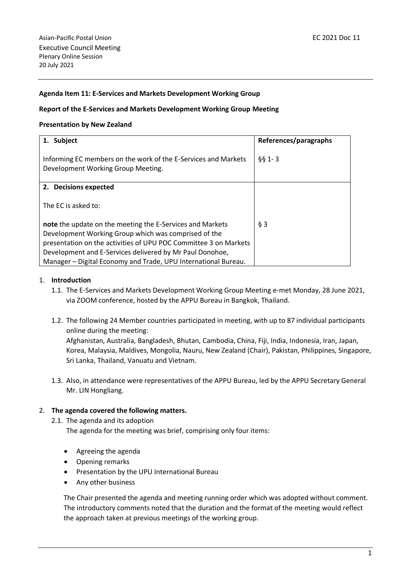## **Agenda Item 11: E-Services and Markets Development Working Group**

#### **Report of the E-Services and Markets Development Working Group Meeting**

#### **Presentation by New Zealand**

| 1. Subject                                                                                           | References/paragraphs |
|------------------------------------------------------------------------------------------------------|-----------------------|
| Informing EC members on the work of the E-Services and Markets<br>Development Working Group Meeting. | $661 - 3$             |
| 2. Decisions expected                                                                                |                       |
| The EC is asked to:                                                                                  |                       |
| note the update on the meeting the E-Services and Markets                                            | $§$ 3                 |
| Development Working Group which was comprised of the                                                 |                       |
| presentation on the activities of UPU POC Committee 3 on Markets                                     |                       |
| Development and E-Services delivered by Mr Paul Donohoe,                                             |                       |
| Manager - Digital Economy and Trade, UPU International Bureau.                                       |                       |

#### 1. **Introduction**

- 1.1. The E-Services and Markets Development Working Group Meeting e-met Monday, 28 June 2021, via ZOOM conference, hosted by the APPU Bureau in Bangkok, Thailand.
- 1.2. The following 24 Member countries participated in meeting, with up to 87 individual participants online during the meeting:

Afghanistan, Australia, Bangladesh, Bhutan, Cambodia, China, Fiji, India, Indonesia, Iran, Japan, Korea, Malaysia, Maldives, Mongolia, Nauru, New Zealand (Chair), Pakistan, Philippines, Singapore, Sri Lanka, Thailand, Vanuatu and Vietnam.

1.3. Also, in attendance were representatives of the APPU Bureau, led by the APPU [Secretary](javascript:;) [General](javascript:;) Mr. LIN Hongliang.

## 2. **The agenda covered the following matters.**

2.1. The agenda and its adoption

The agenda for the meeting was brief, comprising only four items:

- Agreeing the agenda
- Opening remarks
- Presentation by the UPU International Bureau
- Any other business

The Chair presented the agenda and meeting running order which was adopted without comment. The introductory comments noted that the duration and the format of the meeting would reflect the approach taken at previous meetings of the working group.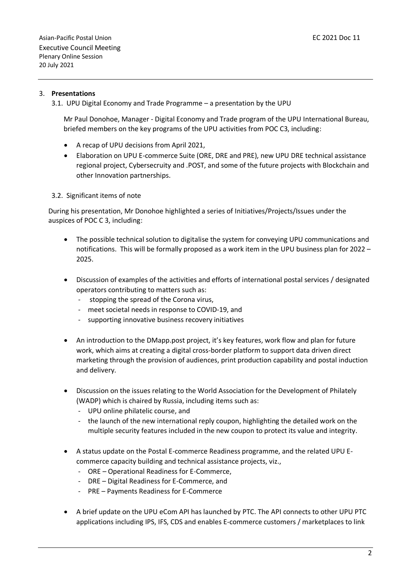## 3. **Presentations**

3.1. UPU Digital Economy and Trade Programme – a presentation by the UPU

Mr Paul Donohoe, Manager - Digital Economy and Trade program of the UPU International Bureau, briefed members on the key programs of the UPU activities from POC C3, including:

- A recap of UPU decisions from April 2021,
- Elaboration on UPU E-commerce Suite (ORE, DRE and PRE), new UPU DRE technical assistance regional project, Cybersecruity and .POST, and some of the future projects with Blockchain and other Innovation partnerships.

## 3.2. Significant items of note

During his presentation, Mr Donohoe highlighted a series of Initiatives/Projects/Issues under the auspices of POC C 3, including:

- The possible technical solution to digitalise the system for conveying UPU communications and notifications. This will be formally proposed as a work item in the UPU business plan for 2022 – 2025.
- Discussion of examples of the activities and efforts of international postal services / designated operators contributing to matters such as:
	- stopping the spread of the Corona virus,
	- meet societal needs in response to COVID-19, and
	- supporting innovative business recovery initiatives
- An introduction to the DMapp.post project, it's key features, work flow and plan for future work, which aims at creating a digital cross-border platform to support data driven direct marketing through the provision of audiences, print production capability and postal induction and delivery.
- Discussion on the issues relating to the World Association for the Development of Philately (WADP) which is chaired by Russia, including items such as:
	- UPU online philatelic course, and
	- the launch of the new international reply coupon, highlighting the detailed work on the multiple security features included in the new coupon to protect its value and integrity.
- A status update on the Postal E-commerce Readiness programme, and the related UPU Ecommerce capacity building and technical assistance projects, viz.,
	- ORE Operational Readiness for E-Commerce,
	- DRE Digital Readiness for E-Commerce, and
	- PRE Payments Readiness for E-Commerce
- A brief update on the UPU eCom API has launched by PTC. The API connects to other UPU PTC applications including IPS, IFS, CDS and enables E-commerce customers / marketplaces to link